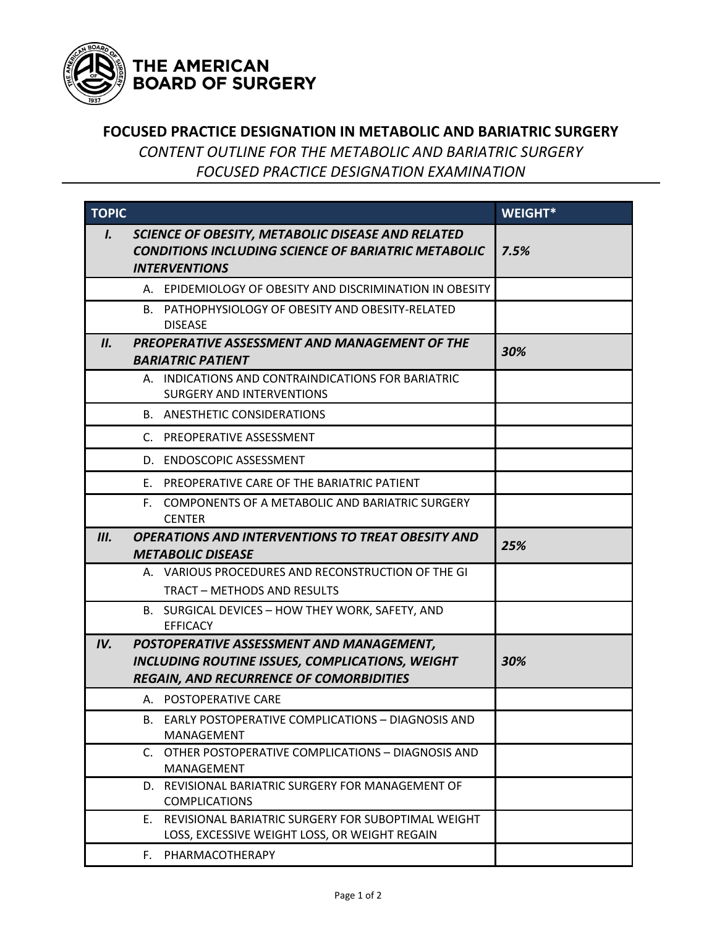

## THE AMERICAN **BOARD OF SURGERY**

## **FOCUSED PRACTICE DESIGNATION IN METABOLIC AND BARIATRIC SURGERY**

*CONTENT OUTLINE FOR THE METABOLIC AND BARIATRIC SURGERY FOCUSED PRACTICE DESIGNATION EXAMINATION*

| <b>TOPIC</b> |                                                                                                                                               | <b>WEIGHT*</b> |
|--------------|-----------------------------------------------------------------------------------------------------------------------------------------------|----------------|
| I.           | SCIENCE OF OBESITY, METABOLIC DISEASE AND RELATED<br><b>CONDITIONS INCLUDING SCIENCE OF BARIATRIC METABOLIC</b><br><b>INTERVENTIONS</b>       | 7.5%           |
|              | A. EPIDEMIOLOGY OF OBESITY AND DISCRIMINATION IN OBESITY                                                                                      |                |
|              | B. PATHOPHYSIOLOGY OF OBESITY AND OBESITY-RELATED<br><b>DISEASE</b>                                                                           |                |
| II.          | PREOPERATIVE ASSESSMENT AND MANAGEMENT OF THE<br><b>BARIATRIC PATIENT</b>                                                                     | 30%            |
|              | A. INDICATIONS AND CONTRAINDICATIONS FOR BARIATRIC<br><b>SURGERY AND INTERVENTIONS</b>                                                        |                |
|              | <b>B. ANESTHETIC CONSIDERATIONS</b>                                                                                                           |                |
|              | C. PREOPERATIVE ASSESSMENT                                                                                                                    |                |
|              | D. ENDOSCOPIC ASSESSMENT                                                                                                                      |                |
|              | E. PREOPERATIVE CARE OF THE BARIATRIC PATIENT                                                                                                 |                |
|              | COMPONENTS OF A METABOLIC AND BARIATRIC SURGERY<br>F.<br><b>CENTER</b>                                                                        |                |
| III.         | <b>OPERATIONS AND INTERVENTIONS TO TREAT OBESITY AND</b>                                                                                      | 25%            |
|              | <b>METABOLIC DISEASE</b><br>A. VARIOUS PROCEDURES AND RECONSTRUCTION OF THE GI                                                                |                |
|              | <b>TRACT - METHODS AND RESULTS</b>                                                                                                            |                |
|              | B. SURGICAL DEVICES - HOW THEY WORK, SAFETY, AND<br><b>EFFICACY</b>                                                                           |                |
| IV.          | POSTOPERATIVE ASSESSMENT AND MANAGEMENT,<br>INCLUDING ROUTINE ISSUES, COMPLICATIONS, WEIGHT<br><b>REGAIN, AND RECURRENCE OF COMORBIDITIES</b> | 30%            |
|              | A. POSTOPERATIVE CARE                                                                                                                         |                |
|              | B. EARLY POSTOPERATIVE COMPLICATIONS - DIAGNOSIS AND<br>MANAGEMENT                                                                            |                |
|              | OTHER POSTOPERATIVE COMPLICATIONS - DIAGNOSIS AND<br>C.<br>MANAGEMENT                                                                         |                |
|              | D. REVISIONAL BARIATRIC SURGERY FOR MANAGEMENT OF<br><b>COMPLICATIONS</b>                                                                     |                |
|              | REVISIONAL BARIATRIC SURGERY FOR SUBOPTIMAL WEIGHT<br>E.<br>LOSS, EXCESSIVE WEIGHT LOSS, OR WEIGHT REGAIN                                     |                |
|              | PHARMACOTHERAPY<br>F.                                                                                                                         |                |